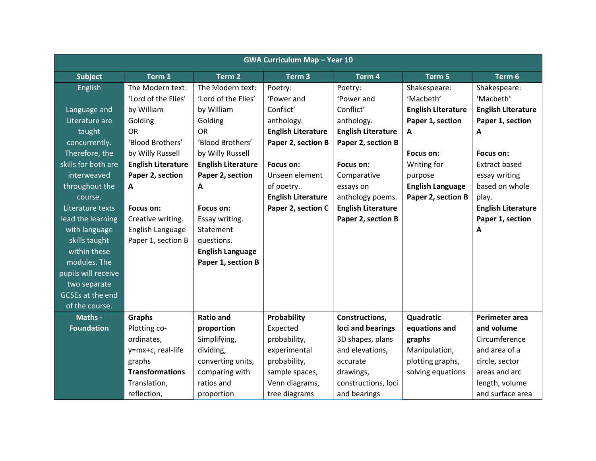| <b>GWA Curriculum Map - Year 10</b> |                           |                           |                           |                           |                           |                           |  |
|-------------------------------------|---------------------------|---------------------------|---------------------------|---------------------------|---------------------------|---------------------------|--|
| <b>Subject</b>                      | Term 1                    | Term <sub>2</sub>         | Term <sub>3</sub>         | Term 4                    | Term 5                    | Term 6                    |  |
| English                             | The Modern text:          | The Modern text:          | Poetry:                   | Poetry:                   | Shakespeare:              | Shakespeare:              |  |
|                                     | 'Lord of the Flies'       | 'Lord of the Flies'       | 'Power and                | 'Power and                | 'Macbeth'                 | 'Macbeth'                 |  |
| Language and                        | by William                | by William                | Conflict'                 | Conflict'                 | <b>English Literature</b> | <b>English Literature</b> |  |
| Literature are                      | Golding                   | Golding                   | anthology.                | anthology.                | Paper 1, section          | Paper 1, section          |  |
| taught                              | <b>OR</b>                 | <b>OR</b>                 | <b>English Literature</b> | <b>English Literature</b> | $\mathbf{A}$              | A                         |  |
| concurrently.                       | 'Blood Brothers'          | 'Blood Brothers'          | Paper 2, section B        | Paper 2, section B        |                           |                           |  |
| Therefore, the                      | by Willy Russell          | by Willy Russell          |                           |                           | Focus on:                 | Focus on:                 |  |
| skills for both are                 | <b>English Literature</b> | <b>English Literature</b> | Focus on:                 | Focus on:                 | Writing for               | <b>Extract based</b>      |  |
| interweaved                         | Paper 2, section          | Paper 2, section          | Unseen element            | Comparative               | purpose                   | essay writing             |  |
| throughout the                      | A                         | A                         | of poetry.                | essays on                 | <b>English Language</b>   | based on whole            |  |
| course.                             |                           |                           | <b>English Literature</b> | anthology poems.          | Paper 2, section B        | play.                     |  |
| Literature texts                    | Focus on:                 | Focus on:                 | Paper 2, section C        | <b>English Literature</b> |                           | <b>English Literature</b> |  |
| lead the learning                   | Creative writing.         | Essay writing.            |                           | Paper 2, section B        |                           | Paper 1, section          |  |
| with language                       | English Language          | Statement                 |                           |                           |                           | A                         |  |
| skills taught                       | Paper 1, section B        | questions.                |                           |                           |                           |                           |  |
| within these                        |                           | <b>English Language</b>   |                           |                           |                           |                           |  |
| modules. The                        |                           | Paper 1, section B        |                           |                           |                           |                           |  |
| pupils will receive                 |                           |                           |                           |                           |                           |                           |  |
| two separate                        |                           |                           |                           |                           |                           |                           |  |
| GCSEs at the end                    |                           |                           |                           |                           |                           |                           |  |
| of the course.                      |                           |                           |                           |                           |                           |                           |  |
| Maths -                             | Graphs                    | <b>Ratio and</b>          | Probability               | Constructions,            | Quadratic                 | Perimeter area            |  |
| <b>Foundation</b>                   | Plotting co-              | proportion                | Expected                  | loci and bearings         | equations and             | and volume                |  |
|                                     | ordinates,                | Simplifying,              | probability,              | 3D shapes, plans          | graphs                    | Circumference             |  |
|                                     | y=mx+c, real-life         | dividing,                 | experimental              | and elevations,           | Manipulation,             | and area of a             |  |
|                                     | graphs                    | converting units,         | probability,              | accurate                  | plotting graphs,          | circle, sector            |  |
|                                     | <b>Transformations</b>    | comparing with            | sample spaces,            | drawings,                 | solving equations         | areas and arc             |  |
|                                     | Translation,              | ratios and                | Venn diagrams,            | constructions, loci       |                           | length, volume            |  |
|                                     | reflection,               | proportion                | tree diagrams             | and bearings              |                           | and surface area          |  |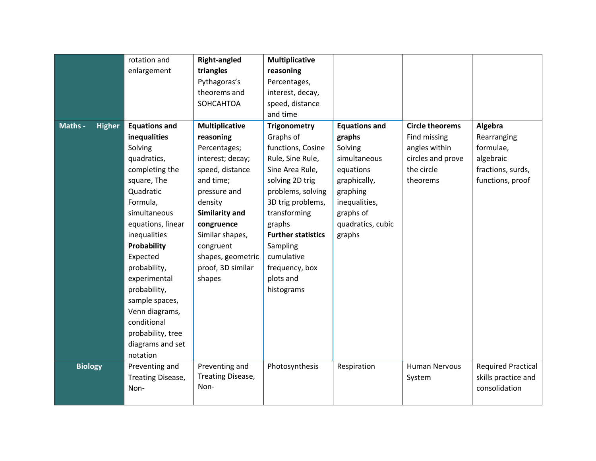|                |               | rotation and         | <b>Right-angled</b>   | <b>Multiplicative</b>     |                      |                        |                           |
|----------------|---------------|----------------------|-----------------------|---------------------------|----------------------|------------------------|---------------------------|
|                |               | enlargement          | triangles             | reasoning                 |                      |                        |                           |
|                |               |                      | Pythagoras's          | Percentages,              |                      |                        |                           |
|                |               |                      | theorems and          | interest, decay,          |                      |                        |                           |
|                |               |                      | SOHCAHTOA             | speed, distance           |                      |                        |                           |
|                |               |                      |                       | and time                  |                      |                        |                           |
| Maths -        | <b>Higher</b> | <b>Equations and</b> | <b>Multiplicative</b> | <b>Trigonometry</b>       | <b>Equations and</b> | <b>Circle theorems</b> | Algebra                   |
|                |               | inequalities         | reasoning             | Graphs of                 | graphs               | Find missing           | Rearranging               |
|                |               | Solving              | Percentages;          | functions, Cosine         | Solving              | angles within          | formulae,                 |
|                |               | quadratics,          | interest; decay;      | Rule, Sine Rule,          | simultaneous         | circles and prove      | algebraic                 |
|                |               | completing the       | speed, distance       | Sine Area Rule,           | equations            | the circle             | fractions, surds,         |
|                |               | square, The          | and time;             | solving 2D trig           | graphically,         | theorems               | functions, proof          |
|                |               | Quadratic            | pressure and          | problems, solving         | graphing             |                        |                           |
|                |               | Formula,             | density               | 3D trig problems,         | inequalities,        |                        |                           |
|                |               | simultaneous         | Similarity and        | transforming              | graphs of            |                        |                           |
|                |               | equations, linear    | congruence            | graphs                    | quadratics, cubic    |                        |                           |
|                |               | inequalities         | Similar shapes,       | <b>Further statistics</b> | graphs               |                        |                           |
|                |               | Probability          | congruent             | Sampling                  |                      |                        |                           |
|                |               | Expected             | shapes, geometric     | cumulative                |                      |                        |                           |
|                |               | probability,         | proof, 3D similar     | frequency, box            |                      |                        |                           |
|                |               | experimental         | shapes                | plots and                 |                      |                        |                           |
|                |               | probability,         |                       | histograms                |                      |                        |                           |
|                |               | sample spaces,       |                       |                           |                      |                        |                           |
|                |               | Venn diagrams,       |                       |                           |                      |                        |                           |
|                |               | conditional          |                       |                           |                      |                        |                           |
|                |               | probability, tree    |                       |                           |                      |                        |                           |
|                |               | diagrams and set     |                       |                           |                      |                        |                           |
|                |               | notation             |                       |                           |                      |                        |                           |
| <b>Biology</b> |               | Preventing and       | Preventing and        | Photosynthesis            | Respiration          | <b>Human Nervous</b>   | <b>Required Practical</b> |
|                |               | Treating Disease,    | Treating Disease,     |                           |                      | System                 | skills practice and       |
|                |               | Non-                 | Non-                  |                           |                      |                        | consolidation             |
|                |               |                      |                       |                           |                      |                        |                           |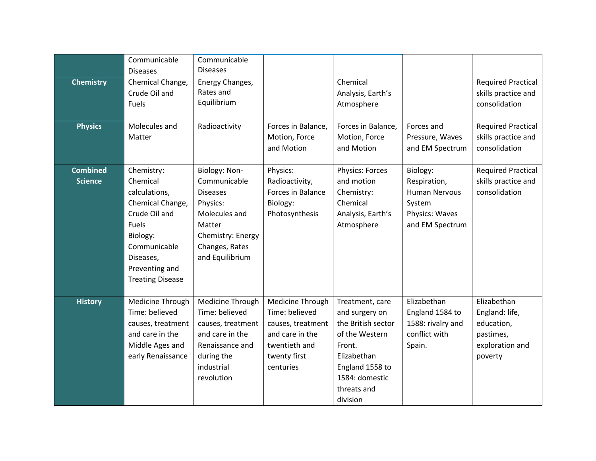|                                   | Communicable<br><b>Diseases</b>                                                                                                                                             | Communicable<br><b>Diseases</b>                                                                                                                   |                                                                                                                          |                                                                                                                                                                    |                                                                                                 |                                                                                        |
|-----------------------------------|-----------------------------------------------------------------------------------------------------------------------------------------------------------------------------|---------------------------------------------------------------------------------------------------------------------------------------------------|--------------------------------------------------------------------------------------------------------------------------|--------------------------------------------------------------------------------------------------------------------------------------------------------------------|-------------------------------------------------------------------------------------------------|----------------------------------------------------------------------------------------|
| <b>Chemistry</b>                  | Chemical Change,<br>Crude Oil and<br>Fuels                                                                                                                                  | Energy Changes,<br>Rates and<br>Equilibrium                                                                                                       |                                                                                                                          | Chemical<br>Analysis, Earth's<br>Atmosphere                                                                                                                        |                                                                                                 | <b>Required Practical</b><br>skills practice and<br>consolidation                      |
| <b>Physics</b>                    | Molecules and<br>Matter                                                                                                                                                     | Radioactivity                                                                                                                                     | Forces in Balance,<br>Motion, Force<br>and Motion                                                                        | Forces in Balance,<br>Motion, Force<br>and Motion                                                                                                                  | Forces and<br>Pressure, Waves<br>and EM Spectrum                                                | <b>Required Practical</b><br>skills practice and<br>consolidation                      |
| <b>Combined</b><br><b>Science</b> | Chemistry:<br>Chemical<br>calculations,<br>Chemical Change,<br>Crude Oil and<br>Fuels<br>Biology:<br>Communicable<br>Diseases,<br>Preventing and<br><b>Treating Disease</b> | Biology: Non-<br>Communicable<br><b>Diseases</b><br>Physics:<br>Molecules and<br>Matter<br>Chemistry: Energy<br>Changes, Rates<br>and Equilibrium | Physics:<br>Radioactivity,<br>Forces in Balance<br>Biology:<br>Photosynthesis                                            | Physics: Forces<br>and motion<br>Chemistry:<br>Chemical<br>Analysis, Earth's<br>Atmosphere                                                                         | Biology:<br>Respiration,<br><b>Human Nervous</b><br>System<br>Physics: Waves<br>and EM Spectrum | <b>Required Practical</b><br>skills practice and<br>consolidation                      |
| <b>History</b>                    | Medicine Through<br>Time: believed<br>causes, treatment<br>and care in the<br>Middle Ages and<br>early Renaissance                                                          | Medicine Through<br>Time: believed<br>causes, treatment<br>and care in the<br>Renaissance and<br>during the<br>industrial<br>revolution           | Medicine Through<br>Time: believed<br>causes, treatment<br>and care in the<br>twentieth and<br>twenty first<br>centuries | Treatment, care<br>and surgery on<br>the British sector<br>of the Western<br>Front.<br>Elizabethan<br>England 1558 to<br>1584: domestic<br>threats and<br>division | Elizabethan<br>England 1584 to<br>1588: rivalry and<br>conflict with<br>Spain.                  | Elizabethan<br>England: life,<br>education,<br>pastimes,<br>exploration and<br>poverty |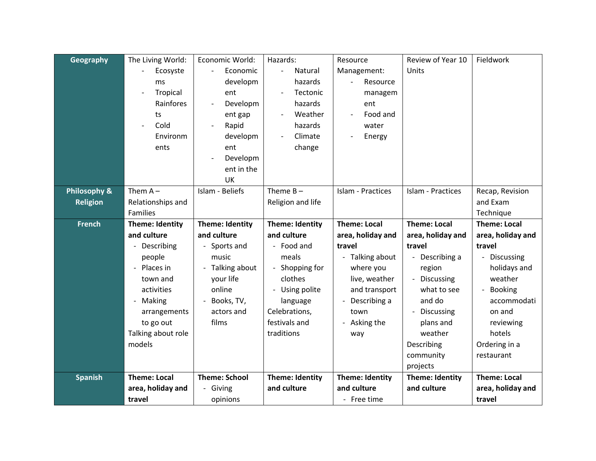| Geography       | The Living World:   | Economic World:      | Hazards:               | Resource                       | Review of Year 10      | Fieldwork           |
|-----------------|---------------------|----------------------|------------------------|--------------------------------|------------------------|---------------------|
|                 | Ecosyste            | Economic             | Natural                | Management:                    | Units                  |                     |
|                 | ms                  | developm             | hazards                | Resource                       |                        |                     |
|                 | Tropical            | ent                  | Tectonic               | managem                        |                        |                     |
|                 | Rainfores           | Developm             | hazards                | ent                            |                        |                     |
|                 | ts                  | ent gap              | Weather                | Food and                       |                        |                     |
|                 | Cold                | Rapid                | hazards                | water                          |                        |                     |
|                 | Environm            | developm             | Climate                | Energy                         |                        |                     |
|                 | ents                | ent                  | change                 |                                |                        |                     |
|                 |                     | Developm             |                        |                                |                        |                     |
|                 |                     | ent in the           |                        |                                |                        |                     |
|                 |                     | UK                   |                        |                                |                        |                     |
| Philosophy &    | Them $A -$          | Islam - Beliefs      | Theme $B -$            | Islam - Practices              | Islam - Practices      | Recap, Revision     |
| <b>Religion</b> | Relationships and   |                      | Religion and life      |                                |                        | and Exam            |
|                 | <b>Families</b>     |                      |                        |                                |                        | Technique           |
| <b>French</b>   | Theme: Identity     | Theme: Identity      | Theme: Identity        | <b>Theme: Local</b>            | <b>Theme: Local</b>    | <b>Theme: Local</b> |
|                 |                     |                      |                        |                                |                        |                     |
|                 | and culture         | and culture          | and culture            | area, holiday and              | area, holiday and      | area, holiday and   |
|                 | Describing          | - Sports and         | - Food and             | travel                         | travel                 | travel              |
|                 | people              | music                | meals                  | - Talking about                | - Describing a         | - Discussing        |
|                 | Places in           | - Talking about      | - Shopping for         | where you                      | region                 | holidays and        |
|                 | town and            | your life            | clothes                | live, weather                  | - Discussing           | weather             |
|                 | activities          | online               | Using polite           | and transport                  | what to see            | Booking             |
|                 | Making              | Books, TV,           | language               | Describing a<br>$\blacksquare$ | and do                 | accommodati         |
|                 | arrangements        | actors and           | Celebrations,          | town                           | Discussing             | on and              |
|                 | to go out           | films                | festivals and          | - Asking the                   | plans and              | reviewing           |
|                 | Talking about role  |                      | traditions             | way                            | weather                | hotels              |
|                 | models              |                      |                        |                                | Describing             | Ordering in a       |
|                 |                     |                      |                        |                                | community              | restaurant          |
|                 |                     |                      |                        |                                | projects               |                     |
| <b>Spanish</b>  | <b>Theme: Local</b> | <b>Theme: School</b> | <b>Theme: Identity</b> | <b>Theme: Identity</b>         | <b>Theme: Identity</b> | <b>Theme: Local</b> |
|                 | area, holiday and   | - Giving             | and culture            | and culture                    | and culture            | area, holiday and   |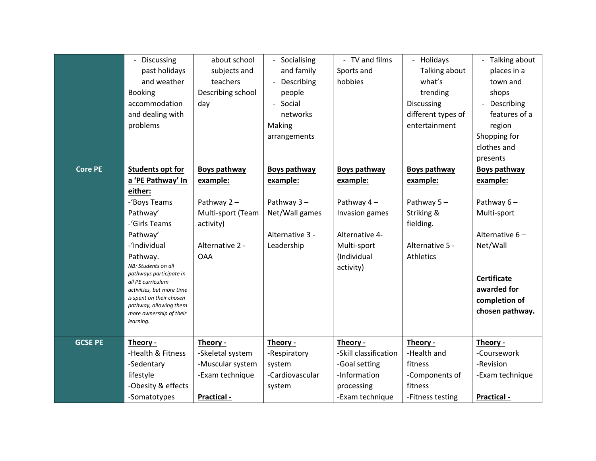|                | - Discussing                                       | about school        | Socialising              | - TV and films        | - Holidays          | Talking about       |
|----------------|----------------------------------------------------|---------------------|--------------------------|-----------------------|---------------------|---------------------|
|                | past holidays                                      | subjects and        | and family               | Sports and            | Talking about       | places in a         |
|                | and weather                                        | teachers            | Describing               | hobbies               | what's              | town and            |
|                | <b>Booking</b>                                     | Describing school   | people                   |                       | trending            | shops               |
|                | accommodation                                      | day                 | Social<br>$\blacksquare$ |                       | <b>Discussing</b>   | Describing          |
|                | and dealing with                                   |                     | networks                 |                       | different types of  | features of a       |
|                | problems                                           |                     | Making                   |                       | entertainment       | region              |
|                |                                                    |                     | arrangements             |                       |                     | Shopping for        |
|                |                                                    |                     |                          |                       |                     | clothes and         |
|                |                                                    |                     |                          |                       |                     | presents            |
| <b>Core PE</b> | <b>Students opt for</b>                            | <b>Boys pathway</b> | <b>Boys pathway</b>      | <b>Boys pathway</b>   | <b>Boys pathway</b> | <b>Boys pathway</b> |
|                | a 'PE Pathway' In                                  | example:            | example:                 | example:              | example:            | example:            |
|                | either:                                            |                     |                          |                       |                     |                     |
|                | -'Boys Teams                                       | Pathway $2 -$       | Pathway $3 -$            | Pathway 4-            | Pathway 5-          | Pathway $6-$        |
|                | Pathway'                                           | Multi-sport (Team   | Net/Wall games           | Invasion games        | Striking &          | Multi-sport         |
|                | -'Girls Teams                                      | activity)           |                          |                       | fielding.           |                     |
|                | Pathway'                                           |                     | Alternative 3 -          | Alternative 4-        |                     | Alternative 6-      |
|                | -'Individual                                       | Alternative 2 -     | Leadership               | Multi-sport           | Alternative 5 -     | Net/Wall            |
|                | Pathway.                                           | <b>OAA</b>          |                          | (Individual           | Athletics           |                     |
|                | NB: Students on all                                |                     |                          | activity)             |                     |                     |
|                | pathways participate in<br>all PE curriculum       |                     |                          |                       |                     | <b>Certificate</b>  |
|                | activities, but more time                          |                     |                          |                       |                     | awarded for         |
|                | is spent on their chosen<br>pathway, allowing them |                     |                          |                       |                     | completion of       |
|                | more ownership of their                            |                     |                          |                       |                     | chosen pathway.     |
|                | learning.                                          |                     |                          |                       |                     |                     |
|                |                                                    |                     |                          |                       |                     |                     |
| <b>GCSE PE</b> | Theory -                                           | Theory -            | Theory -                 | Theory -              | Theory -            | Theory -            |
|                | -Health & Fitness                                  | -Skeletal system    | -Respiratory             | -Skill classification | -Health and         | -Coursework         |
|                | -Sedentary                                         | -Muscular system    | system                   | -Goal setting         | fitness             | -Revision           |
|                | lifestyle                                          | -Exam technique     | -Cardiovascular          | -Information          | -Components of      | -Exam technique     |
|                | -Obesity & effects                                 |                     | system                   | processing            | fitness             |                     |
|                | -Somatotypes                                       | Practical -         |                          | -Exam technique       | -Fitness testing    | Practical -         |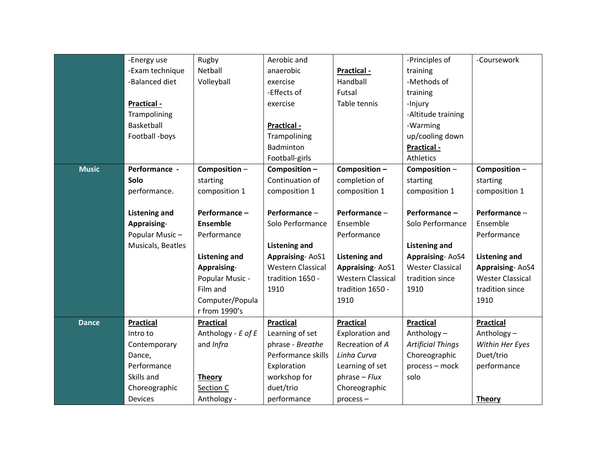|              | -Energy use          | Rugby                | Aerobic and              |                          | -Principles of           | -Coursework             |
|--------------|----------------------|----------------------|--------------------------|--------------------------|--------------------------|-------------------------|
|              | -Exam technique      | Netball              | anaerobic                | Practical -              | training                 |                         |
|              | -Balanced diet       | Volleyball           | exercise                 | Handball                 | -Methods of              |                         |
|              |                      |                      | -Effects of              | Futsal                   | training                 |                         |
|              | Practical -          |                      | exercise                 | Table tennis             | -Injury                  |                         |
|              | Trampolining         |                      |                          |                          | -Altitude training       |                         |
|              | Basketball           |                      | Practical -              |                          | -Warming                 |                         |
|              | Football -boys       |                      | Trampolining             |                          | up/cooling down          |                         |
|              |                      |                      | Badminton                |                          | Practical -              |                         |
|              |                      |                      | Football-girls           |                          | Athletics                |                         |
| <b>Music</b> | Performance -        | Composition-         | Composition-             | Composition-             | Composition-             | Composition-            |
|              | <b>Solo</b>          | starting             | Continuation of          | completion of            | starting                 | starting                |
|              | performance.         | composition 1        | composition 1            | composition 1            | composition 1            | composition 1           |
|              |                      |                      |                          |                          |                          |                         |
|              | <b>Listening and</b> | Performance-         | Performance -            | Performance-             | Performance -            | Performance-            |
|              | Appraising-          | <b>Ensemble</b>      | Solo Performance         | Ensemble                 | Solo Performance         | Ensemble                |
|              | Popular Music-       | Performance          |                          | Performance              |                          | Performance             |
|              | Musicals, Beatles    |                      | <b>Listening and</b>     |                          | <b>Listening and</b>     |                         |
|              |                      | <b>Listening and</b> | <b>Appraising-AoS1</b>   | <b>Listening and</b>     | <b>Appraising-AoS4</b>   | <b>Listening and</b>    |
|              |                      | Appraising-          | <b>Western Classical</b> | <b>Appraising-AoS1</b>   | <b>Wester Classical</b>  | <b>Appraising-AoS4</b>  |
|              |                      | Popular Music -      | tradition 1650 -         | <b>Western Classical</b> | tradition since          | <b>Wester Classical</b> |
|              |                      | Film and             | 1910                     | tradition 1650 -         | 1910                     | tradition since         |
|              |                      | Computer/Popula      |                          | 1910                     |                          | 1910                    |
|              |                      | r from 1990's        |                          |                          |                          |                         |
| <b>Dance</b> | <b>Practical</b>     | Practical            | <b>Practical</b>         | <b>Practical</b>         | <b>Practical</b>         | <b>Practical</b>        |
|              | Intro to             | Anthology - E of E   | Learning of set          | <b>Exploration and</b>   | Anthology-               | Anthology-              |
|              | Contemporary         | and Infra            | phrase - Breathe         | Recreation of A          | <b>Artificial Things</b> | Within Her Eyes         |
|              | Dance,               |                      | Performance skills       | Linha Curva              | Choreographic            | Duet/trio               |
|              | Performance          |                      | Exploration              | Learning of set          | process - mock           | performance             |
|              | Skills and           | <b>Theory</b>        | workshop for             | $phrase - Flux$          | solo                     |                         |
|              | Choreographic        | Section C            | duet/trio                | Choreographic            |                          |                         |
|              | <b>Devices</b>       | Anthology -          | performance              | process-                 |                          | <b>Theory</b>           |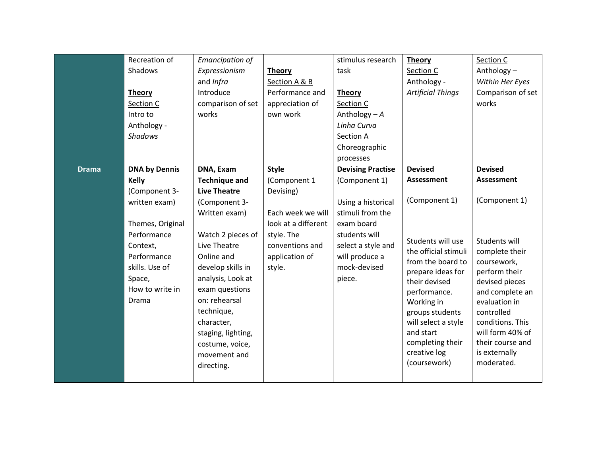|              | Recreation of        | <b>Emancipation of</b> |                     | stimulus research        | <b>Theory</b>            | Section C         |
|--------------|----------------------|------------------------|---------------------|--------------------------|--------------------------|-------------------|
|              | Shadows              | Expressionism          | <b>Theory</b>       | task                     | Section C                | Anthology-        |
|              |                      | and Infra              | Section A & B       |                          | Anthology -              | Within Her Eyes   |
|              | <b>Theory</b>        | Introduce              | Performance and     | <b>Theory</b>            | <b>Artificial Things</b> | Comparison of set |
|              | Section C            | comparison of set      | appreciation of     | Section C                |                          | works             |
|              | Intro to             | works                  | own work            | Anthology $-A$           |                          |                   |
|              | Anthology -          |                        |                     | Linha Curva              |                          |                   |
|              | Shadows              |                        |                     | <b>Section A</b>         |                          |                   |
|              |                      |                        |                     | Choreographic            |                          |                   |
|              |                      |                        |                     | processes                |                          |                   |
| <b>Drama</b> | <b>DNA by Dennis</b> | DNA, Exam              | <b>Style</b>        | <b>Devising Practise</b> | <b>Devised</b>           | <b>Devised</b>    |
|              | <b>Kelly</b>         | <b>Technique and</b>   | (Component 1        | (Component 1)            | <b>Assessment</b>        | Assessment        |
|              | (Component 3-        | <b>Live Theatre</b>    | Devising)           |                          |                          |                   |
|              | written exam)        | (Component 3-          |                     | Using a historical       | (Component 1)            | (Component 1)     |
|              |                      | Written exam)          | Each week we will   | stimuli from the         |                          |                   |
|              | Themes, Original     |                        | look at a different | exam board               |                          |                   |
|              | Performance          | Watch 2 pieces of      | style. The          | students will            | Students will use        | Students will     |
|              | Context,             | Live Theatre           | conventions and     | select a style and       | the official stimuli     | complete their    |
|              | Performance          | Online and             | application of      | will produce a           | from the board to        | coursework,       |
|              | skills. Use of       | develop skills in      | style.              | mock-devised             | prepare ideas for        | perform their     |
|              | Space,               | analysis, Look at      |                     | piece.                   | their devised            | devised pieces    |
|              | How to write in      | exam questions         |                     |                          | performance.             | and complete an   |
|              | Drama                | on: rehearsal          |                     |                          | Working in               | evaluation in     |
|              |                      | technique,             |                     |                          | groups students          | controlled        |
|              |                      | character,             |                     |                          | will select a style      | conditions. This  |
|              |                      | staging, lighting,     |                     |                          | and start                | will form 40% of  |
|              |                      | costume, voice,        |                     |                          | completing their         | their course and  |
|              |                      | movement and           |                     |                          | creative log             | is externally     |
|              |                      | directing.             |                     |                          | (coursework)             | moderated.        |
|              |                      |                        |                     |                          |                          |                   |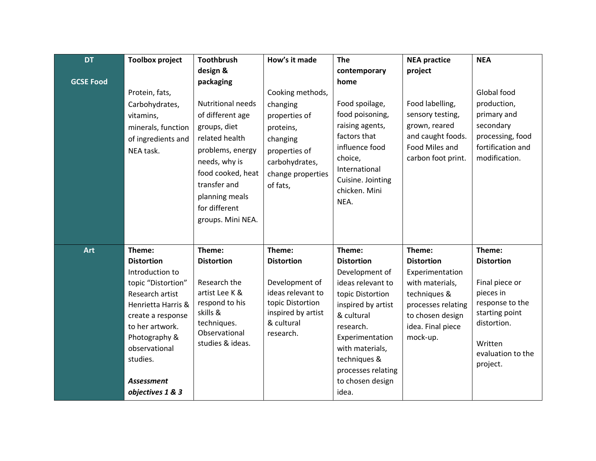| <b>DT</b>        | <b>Toolbox project</b>                                                                                                                                                                                                                       | Toothbrush                                                                                                                                                                                                                    | How's it made                                                                                                                              | <b>The</b>                                                                                                                                                                                                                                       | <b>NEA practice</b>                                                                                                                                          | <b>NEA</b>                                                                                                                                                 |
|------------------|----------------------------------------------------------------------------------------------------------------------------------------------------------------------------------------------------------------------------------------------|-------------------------------------------------------------------------------------------------------------------------------------------------------------------------------------------------------------------------------|--------------------------------------------------------------------------------------------------------------------------------------------|--------------------------------------------------------------------------------------------------------------------------------------------------------------------------------------------------------------------------------------------------|--------------------------------------------------------------------------------------------------------------------------------------------------------------|------------------------------------------------------------------------------------------------------------------------------------------------------------|
|                  |                                                                                                                                                                                                                                              | design &                                                                                                                                                                                                                      |                                                                                                                                            | contemporary                                                                                                                                                                                                                                     | project                                                                                                                                                      |                                                                                                                                                            |
| <b>GCSE Food</b> | Protein, fats,<br>Carbohydrates,<br>vitamins,<br>minerals, function<br>of ingredients and<br>NEA task.                                                                                                                                       | packaging<br><b>Nutritional needs</b><br>of different age<br>groups, diet<br>related health<br>problems, energy<br>needs, why is<br>food cooked, heat<br>transfer and<br>planning meals<br>for different<br>groups. Mini NEA. | Cooking methods,<br>changing<br>properties of<br>proteins,<br>changing<br>properties of<br>carbohydrates,<br>change properties<br>of fats, | home<br>Food spoilage,<br>food poisoning,<br>raising agents,<br>factors that<br>influence food<br>choice,<br>International<br>Cuisine. Jointing<br>chicken. Mini<br>NEA.                                                                         | Food labelling,<br>sensory testing,<br>grown, reared<br>and caught foods.<br>Food Miles and<br>carbon foot print.                                            | Global food<br>production,<br>primary and<br>secondary<br>processing, food<br>fortification and<br>modification.                                           |
| <b>Art</b>       | Theme:<br><b>Distortion</b><br>Introduction to<br>topic "Distortion"<br>Research artist<br>Henrietta Harris &<br>create a response<br>to her artwork.<br>Photography &<br>observational<br>studies.<br><b>Assessment</b><br>objectives 1 & 3 | Theme:<br><b>Distortion</b><br>Research the<br>artist Lee K &<br>respond to his<br>skills &<br>techniques.<br>Observational<br>studies & ideas.                                                                               | Theme:<br><b>Distortion</b><br>Development of<br>ideas relevant to<br>topic Distortion<br>inspired by artist<br>& cultural<br>research.    | Theme:<br><b>Distortion</b><br>Development of<br>ideas relevant to<br>topic Distortion<br>inspired by artist<br>& cultural<br>research.<br>Experimentation<br>with materials,<br>techniques &<br>processes relating<br>to chosen design<br>idea. | Theme:<br><b>Distortion</b><br>Experimentation<br>with materials,<br>techniques &<br>processes relating<br>to chosen design<br>idea. Final piece<br>mock-up. | Theme:<br><b>Distortion</b><br>Final piece or<br>pieces in<br>response to the<br>starting point<br>distortion.<br>Written<br>evaluation to the<br>project. |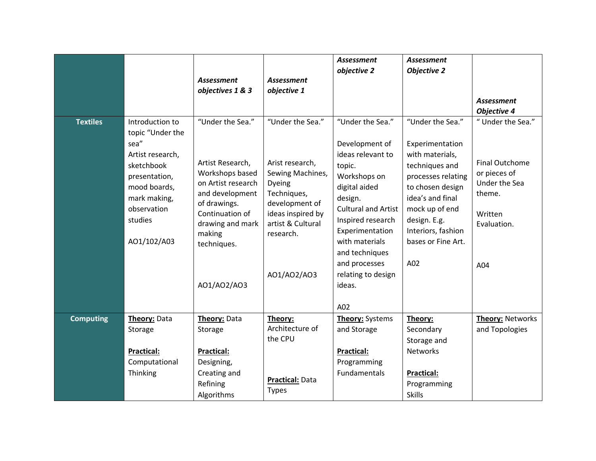|                  |                                                                                                                                                                         | <b>Assessment</b><br>objectives 1 & 3                                                                                                                                                           | <b>Assessment</b><br>objective 1                                                                                                                                         | <b>Assessment</b><br>objective 2                                                                                                                                                                                                                                                | <b>Assessment</b><br><b>Objective 2</b>                                                                                                                                                                                     | <b>Assessment</b><br><b>Objective 4</b>                                                                               |
|------------------|-------------------------------------------------------------------------------------------------------------------------------------------------------------------------|-------------------------------------------------------------------------------------------------------------------------------------------------------------------------------------------------|--------------------------------------------------------------------------------------------------------------------------------------------------------------------------|---------------------------------------------------------------------------------------------------------------------------------------------------------------------------------------------------------------------------------------------------------------------------------|-----------------------------------------------------------------------------------------------------------------------------------------------------------------------------------------------------------------------------|-----------------------------------------------------------------------------------------------------------------------|
| <b>Textiles</b>  | Introduction to<br>topic "Under the<br>sea"<br>Artist research,<br>sketchbook<br>presentation,<br>mood boards,<br>mark making,<br>observation<br>studies<br>AO1/102/A03 | "Under the Sea."<br>Artist Research,<br>Workshops based<br>on Artist research<br>and development<br>of drawings.<br>Continuation of<br>drawing and mark<br>making<br>techniques.<br>A01/A02/A03 | "Under the Sea."<br>Arist research,<br>Sewing Machines,<br>Dyeing<br>Techniques,<br>development of<br>ideas inspired by<br>artist & Cultural<br>research.<br>A01/A02/A03 | "Under the Sea."<br>Development of<br>ideas relevant to<br>topic.<br>Workshops on<br>digital aided<br>design.<br><b>Cultural and Artist</b><br>Inspired research<br>Experimentation<br>with materials<br>and techniques<br>and processes<br>relating to design<br>ideas.<br>A02 | "Under the Sea."<br>Experimentation<br>with materials,<br>techniques and<br>processes relating<br>to chosen design<br>idea's and final<br>mock up of end<br>design. E.g.<br>Interiors, fashion<br>bases or Fine Art.<br>A02 | "Under the Sea."<br><b>Final Outchome</b><br>or pieces of<br>Under the Sea<br>theme.<br>Written<br>Evaluation.<br>A04 |
| <b>Computing</b> | Theory: Data<br>Storage<br>Practical:<br>Computational<br>Thinking                                                                                                      | Theory: Data<br>Storage<br>Practical:<br>Designing,<br>Creating and<br>Refining<br>Algorithms                                                                                                   | Theory:<br>Architecture of<br>the CPU<br>Practical: Data<br><b>Types</b>                                                                                                 | Theory: Systems<br>and Storage<br><b>Practical:</b><br>Programming<br>Fundamentals                                                                                                                                                                                              | Theory:<br>Secondary<br>Storage and<br><b>Networks</b><br><b>Practical:</b><br>Programming<br><b>Skills</b>                                                                                                                 | Theory: Networks<br>and Topologies                                                                                    |